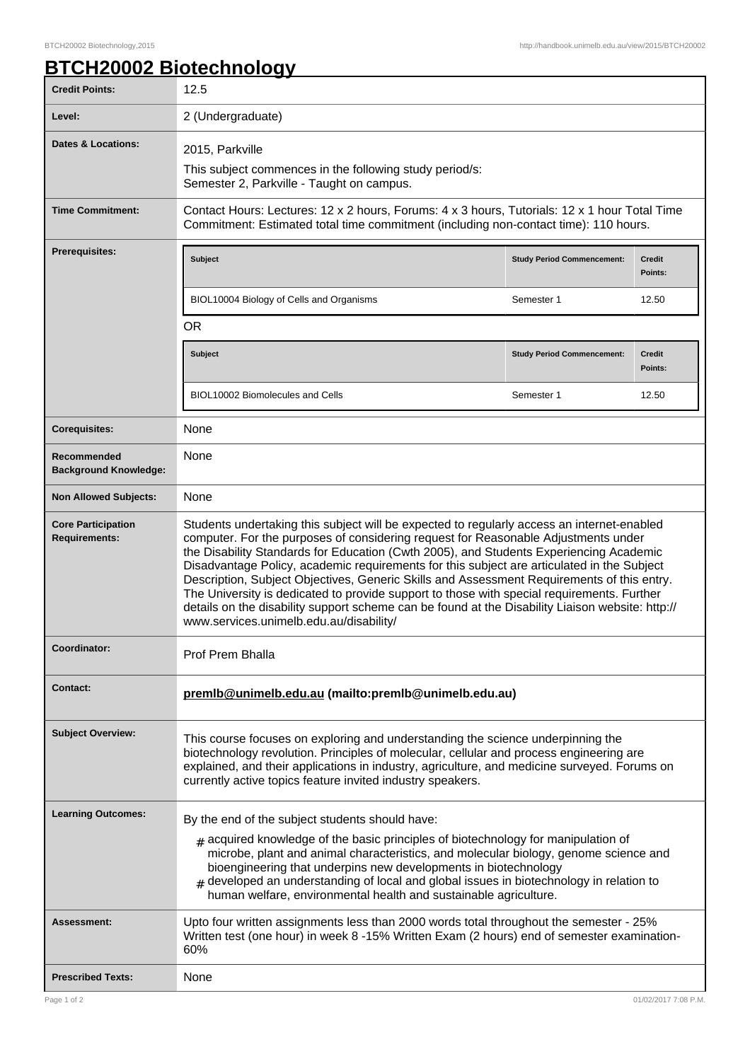٦

## **BTCH20002 Biotechnology**

| <b>Credit Points:</b>                             | 12.5                                                                                                                                                                                                                                                                                                                                                                                                                                                                                                                                                                                                                                                                                                                |                                   |                   |
|---------------------------------------------------|---------------------------------------------------------------------------------------------------------------------------------------------------------------------------------------------------------------------------------------------------------------------------------------------------------------------------------------------------------------------------------------------------------------------------------------------------------------------------------------------------------------------------------------------------------------------------------------------------------------------------------------------------------------------------------------------------------------------|-----------------------------------|-------------------|
| Level:                                            | 2 (Undergraduate)                                                                                                                                                                                                                                                                                                                                                                                                                                                                                                                                                                                                                                                                                                   |                                   |                   |
| <b>Dates &amp; Locations:</b>                     | 2015, Parkville                                                                                                                                                                                                                                                                                                                                                                                                                                                                                                                                                                                                                                                                                                     |                                   |                   |
|                                                   | This subject commences in the following study period/s:<br>Semester 2, Parkville - Taught on campus.                                                                                                                                                                                                                                                                                                                                                                                                                                                                                                                                                                                                                |                                   |                   |
| <b>Time Commitment:</b>                           | Contact Hours: Lectures: 12 x 2 hours, Forums: 4 x 3 hours, Tutorials: 12 x 1 hour Total Time<br>Commitment: Estimated total time commitment (including non-contact time): 110 hours.                                                                                                                                                                                                                                                                                                                                                                                                                                                                                                                               |                                   |                   |
| <b>Prerequisites:</b>                             | <b>Subject</b>                                                                                                                                                                                                                                                                                                                                                                                                                                                                                                                                                                                                                                                                                                      | <b>Study Period Commencement:</b> | Credit<br>Points: |
|                                                   | BIOL10004 Biology of Cells and Organisms                                                                                                                                                                                                                                                                                                                                                                                                                                                                                                                                                                                                                                                                            | Semester 1                        | 12.50             |
|                                                   | <b>OR</b>                                                                                                                                                                                                                                                                                                                                                                                                                                                                                                                                                                                                                                                                                                           |                                   |                   |
|                                                   | <b>Subject</b>                                                                                                                                                                                                                                                                                                                                                                                                                                                                                                                                                                                                                                                                                                      | <b>Study Period Commencement:</b> | Credit<br>Points: |
|                                                   | BIOL10002 Biomolecules and Cells                                                                                                                                                                                                                                                                                                                                                                                                                                                                                                                                                                                                                                                                                    | Semester 1                        | 12.50             |
| <b>Corequisites:</b>                              | None                                                                                                                                                                                                                                                                                                                                                                                                                                                                                                                                                                                                                                                                                                                |                                   |                   |
| Recommended<br><b>Background Knowledge:</b>       | None                                                                                                                                                                                                                                                                                                                                                                                                                                                                                                                                                                                                                                                                                                                |                                   |                   |
| <b>Non Allowed Subjects:</b>                      | None                                                                                                                                                                                                                                                                                                                                                                                                                                                                                                                                                                                                                                                                                                                |                                   |                   |
| <b>Core Participation</b><br><b>Requirements:</b> | Students undertaking this subject will be expected to regularly access an internet-enabled<br>computer. For the purposes of considering request for Reasonable Adjustments under<br>the Disability Standards for Education (Cwth 2005), and Students Experiencing Academic<br>Disadvantage Policy, academic requirements for this subject are articulated in the Subject<br>Description, Subject Objectives, Generic Skills and Assessment Requirements of this entry.<br>The University is dedicated to provide support to those with special requirements. Further<br>details on the disability support scheme can be found at the Disability Liaison website: http://<br>www.services.unimelb.edu.au/disability/ |                                   |                   |
| Coordinator:                                      | Prof Prem Bhalla                                                                                                                                                                                                                                                                                                                                                                                                                                                                                                                                                                                                                                                                                                    |                                   |                   |
| <b>Contact:</b>                                   | premlb@unimelb.edu.au (mailto:premlb@unimelb.edu.au)                                                                                                                                                                                                                                                                                                                                                                                                                                                                                                                                                                                                                                                                |                                   |                   |
| <b>Subject Overview:</b>                          | This course focuses on exploring and understanding the science underpinning the<br>biotechnology revolution. Principles of molecular, cellular and process engineering are<br>explained, and their applications in industry, agriculture, and medicine surveyed. Forums on<br>currently active topics feature invited industry speakers.                                                                                                                                                                                                                                                                                                                                                                            |                                   |                   |
| <b>Learning Outcomes:</b>                         | By the end of the subject students should have:                                                                                                                                                                                                                                                                                                                                                                                                                                                                                                                                                                                                                                                                     |                                   |                   |
|                                                   | $_{\text{\#}}$ acquired knowledge of the basic principles of biotechnology for manipulation of<br>microbe, plant and animal characteristics, and molecular biology, genome science and<br>bioengineering that underpins new developments in biotechnology<br>developed an understanding of local and global issues in biotechnology in relation to<br>human welfare, environmental health and sustainable agriculture.                                                                                                                                                                                                                                                                                              |                                   |                   |
| Assessment:                                       | Upto four written assignments less than 2000 words total throughout the semester - 25%<br>Written test (one hour) in week 8 -15% Written Exam (2 hours) end of semester examination-<br>60%                                                                                                                                                                                                                                                                                                                                                                                                                                                                                                                         |                                   |                   |
| <b>Prescribed Texts:</b>                          | None                                                                                                                                                                                                                                                                                                                                                                                                                                                                                                                                                                                                                                                                                                                |                                   |                   |